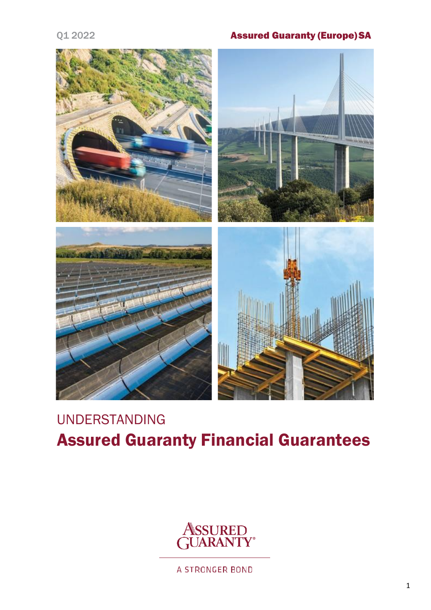# Q1 2022 Assured Guaranty (Europe) SA



# UNDERSTANDING Assured Guaranty Financial Guarantees



A STRONGER BOND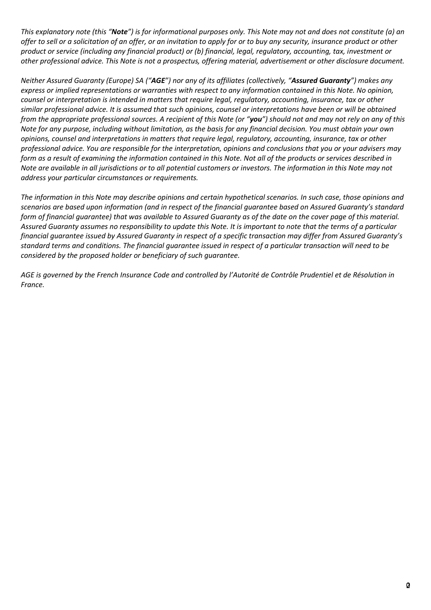*This explanatory note (this "Note") is for informational purposes only. This Note may not and does not constitute (a) an offer to sell or a solicitation of an offer, or an invitation to apply for or to buy any security, insurance product or other product or service (including any financial product) or (b) financial, legal, regulatory, accounting, tax, investment or other professional advice. This Note is not a prospectus, offering material, advertisement or other disclosure document.*

*Neither Assured Guaranty (Europe) SA ("AGE") nor any of its affiliates (collectively, "Assured Guaranty") makes any express or implied representations or warranties with respect to any information contained in this Note. No opinion, counsel or interpretation is intended in matters that require legal, regulatory, accounting, insurance, tax or other similar professional advice. It is assumed that such opinions, counsel or interpretations have been or will be obtained from the appropriate professional sources. A recipient of this Note (or "you") should not and may not rely on any of this Note for any purpose, including without limitation, as the basis for any financial decision. You must obtain your own opinions, counsel and interpretations in matters that require legal, regulatory, accounting, insurance, tax or other professional advice. You are responsible for the interpretation, opinions and conclusions that you or your advisers may form as a result of examining the information contained in this Note. Not all of the products or services described in Note are available in all jurisdictions or to all potential customers or investors. The information in this Note may not address your particular circumstances or requirements.*

*The information in this Note may describe opinions and certain hypothetical scenarios. In such case, those opinions and scenarios are based upon information (and in respect of the financial guarantee based on Assured Guaranty's standard form of financial guarantee) that was available to Assured Guaranty as of the date on the cover page of this material. Assured Guaranty assumes no responsibility to update this Note. It is important to note that the terms of a particular financial guarantee issued by Assured Guaranty in respect of a specific transaction may differ from Assured Guaranty's standard terms and conditions. The financial guarantee issued in respect of a particular transaction will need to be considered by the proposed holder or beneficiary of such guarantee.*

*AGE is governed by the French Insurance Code and controlled by l'Autorité de Contrôle Prudentiel et de Résolution in France.*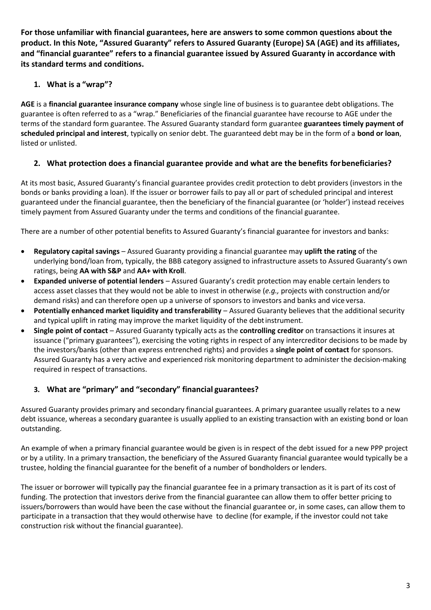**For those unfamiliar with financial guarantees, here are answers to some common questions about the product. In this Note, "Assured Guaranty" refers to Assured Guaranty (Europe) SA (AGE) and its affiliates, and "financial guarantee" refers to a financial guarantee issued by Assured Guaranty in accordance with its standard terms and conditions.**

# **1. What is a "wrap"?**

**AGE** is a **financial guarantee insurance company** whose single line of business is to guarantee debt obligations. The guarantee is often referred to as a "wrap." Beneficiaries of the financial guarantee have recourse to AGE under the terms of the standard form guarantee. The Assured Guaranty standard form guarantee **guarantees timely payment of scheduled principal and interest**, typically on senior debt. The guaranteed debt may be in the form of a **bond or loan**, listed or unlisted.

# **2. What protection does a financial guarantee provide and what are the benefits forbeneficiaries?**

At its most basic, Assured Guaranty's financial guarantee provides credit protection to debt providers (investors in the bonds or banks providing a loan). If the issuer or borrower fails to pay all or part of scheduled principal and interest guaranteed under the financial guarantee, then the beneficiary of the financial guarantee (or 'holder') instead receives timely payment from Assured Guaranty under the terms and conditions of the financial guarantee.

There are a number of other potential benefits to Assured Guaranty's financial guarantee for investors and banks:

- **Regulatory capital savings**  Assured Guaranty providing a financial guarantee may **uplift the rating** of the underlying bond/loan from, typically, the BBB category assigned to infrastructure assets to Assured Guaranty's own ratings, being **AA with S&P** and **AA+ with Kroll**.
- **Expanded universe of potential lenders**  Assured Guaranty's credit protection may enable certain lenders to access asset classes that they would not be able to invest in otherwise (*e.g.,* projects with construction and/or demand risks) and can therefore open up a universe of sponsors to investors and banks and vice versa.
- **Potentially enhanced market liquidity and transferability**  Assured Guaranty believes that the additional security and typical uplift in rating may improve the market liquidity of the debtinstrument.
- **Single point of contact**  Assured Guaranty typically acts as the **controlling creditor** on transactions it insures at issuance ("primary guarantees"), exercising the voting rights in respect of any intercreditor decisions to be made by the investors/banks (other than express entrenched rights) and provides a **single point of contact** for sponsors. Assured Guaranty has a very active and experienced risk monitoring department to administer the decision-making required in respect of transactions.

# **3. What are "primary" and "secondary" financial guarantees?**

Assured Guaranty provides primary and secondary financial guarantees. A primary guarantee usually relates to a new debt issuance, whereas a secondary guarantee is usually applied to an existing transaction with an existing bond or loan outstanding.

An example of when a primary financial guarantee would be given is in respect of the debt issued for a new PPP project or by a utility. In a primary transaction, the beneficiary of the Assured Guaranty financial guarantee would typically be a trustee, holding the financial guarantee for the benefit of a number of bondholders or lenders.

The issuer or borrower will typically pay the financial guarantee fee in a primary transaction as it is part of its cost of funding. The protection that investors derive from the financial guarantee can allow them to offer better pricing to issuers/borrowers than would have been the case without the financial guarantee or, in some cases, can allow them to participate in a transaction that they would otherwise have to decline (for example, if the investor could not take construction risk without the financial guarantee).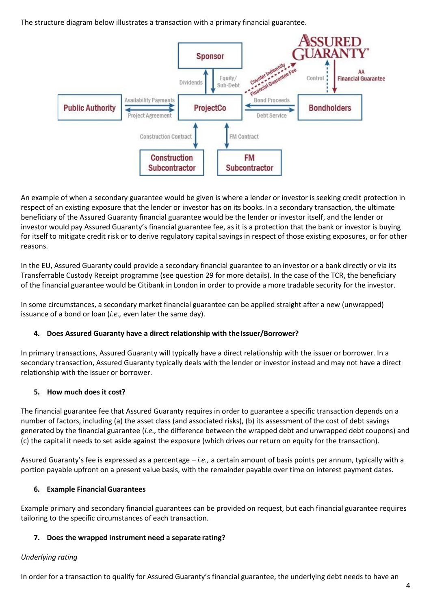The structure diagram below illustrates a transaction with a primary financial guarantee.



An example of when a secondary guarantee would be given is where a lender or investor is seeking credit protection in respect of an existing exposure that the lender or investor has on its books. In a secondary transaction, the ultimate beneficiary of the Assured Guaranty financial guarantee would be the lender or investor itself, and the lender or investor would pay Assured Guaranty's financial guarantee fee, as it is a protection that the bank or investor is buying for itself to mitigate credit risk or to derive regulatory capital savings in respect of those existing exposures, or for other reasons.

In the EU, Assured Guaranty could provide a secondary financial guarantee to an investor or a bank directly or via its Transferrable Custody Receipt programme (see question 29 for more details). In the case of the TCR, the beneficiary of the financial guarantee would be Citibank in London in order to provide a more tradable security for the investor.

In some circumstances, a secondary market financial guarantee can be applied straight after a new (unwrapped) issuance of a bond or loan (*i.e.,* even later the same day).

# **4. Does Assured Guaranty have a direct relationship with theIssuer/Borrower?**

In primary transactions, Assured Guaranty will typically have a direct relationship with the issuer or borrower. In a secondary transaction, Assured Guaranty typically deals with the lender or investor instead and may not have a direct relationship with the issuer or borrower.

# **5. How much does it cost?**

The financial guarantee fee that Assured Guaranty requires in order to guarantee a specific transaction depends on a number of factors, including (a) the asset class (and associated risks), (b) its assessment of the cost of debt savings generated by the financial guarantee (*i.e.,* the difference between the wrapped debt and unwrapped debt coupons) and (c) the capital it needs to set aside against the exposure (which drives our return on equity for the transaction).

Assured Guaranty's fee is expressed as a percentage – *i.e.,* a certain amount of basis points per annum, typically with a portion payable upfront on a present value basis, with the remainder payable over time on interest payment dates.

# **6. Example Financial Guarantees**

Example primary and secondary financial guarantees can be provided on request, but each financial guarantee requires tailoring to the specific circumstances of each transaction.

# **7. Does the wrapped instrument need a separate rating?**

# *Underlying rating*

In order for a transaction to qualify for Assured Guaranty's financial guarantee, the underlying debt needs to have an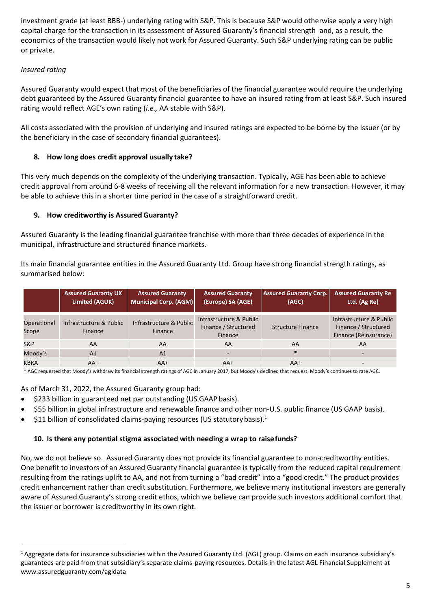investment grade (at least BBB-) underlying rating with S&P. This is because S&P would otherwise apply a very high capital charge for the transaction in its assessment of Assured Guaranty's financial strength and, as a result, the economics of the transaction would likely not work for Assured Guaranty. Such S&P underlying rating can be public or private.

# *Insured rating*

Assured Guaranty would expect that most of the beneficiaries of the financial guarantee would require the underlying debt guaranteed by the Assured Guaranty financial guarantee to have an insured rating from at least S&P. Such insured rating would reflect AGE's own rating (*i.e.,* AA stable with S&P).

All costs associated with the provision of underlying and insured ratings are expected to be borne by the Issuer (or by the beneficiary in the case of secondary financial guarantees).

# **8. How long does credit approval usually take?**

This very much depends on the complexity of the underlying transaction. Typically, AGE has been able to achieve credit approval from around 6-8 weeks of receiving all the relevant information for a new transaction. However, it may be able to achieve this in a shorter time period in the case of a straightforward credit.

# **9. How creditworthy is Assured Guaranty?**

Assured Guaranty is the leading financial guarantee franchise with more than three decades of experience in the municipal, infrastructure and structured finance markets.

Its main financial guarantee entities in the Assured Guaranty Ltd. Group have strong financial strength ratings, as summarised below:

|                      | <b>Assured Guaranty UK</b><br>Limited (AGUK) | <b>Assured Guaranty</b><br>Municipal Corp. (AGM) | <b>Assured Guaranty</b><br>(Europe) SA (AGE)                      | <b>Assured Guaranty Corp.</b><br>(AGC) | <b>Assured Guaranty Re</b><br>Ltd. (Ag Re)                               |
|----------------------|----------------------------------------------|--------------------------------------------------|-------------------------------------------------------------------|----------------------------------------|--------------------------------------------------------------------------|
| Operational<br>Scope | Infrastructure & Public<br>Finance           | Infrastructure & Public<br>Finance               | Infrastructure & Public<br>Finance / Structured<br><b>Finance</b> | Structure Finance                      | Infrastructure & Public<br>Finance / Structured<br>Finance (Reinsurance) |
| S&P                  | AA                                           | AA                                               | AA                                                                | AA                                     | AA                                                                       |
| Moody's              | A <sub>1</sub>                               | A <sub>1</sub>                                   |                                                                   | $\ast$                                 |                                                                          |
| <b>KBRA</b>          | $AA+$                                        | $AA+$                                            | $AA+$                                                             | $AA+$                                  | $\overline{\phantom{a}}$                                                 |

\* AGC requested that Moody's withdraw its financial strength ratings of AGC in January 2017, but Moody's declined that request. Moody's continues to rate AGC.

# As of March 31, 2022, the Assured Guaranty group had:

- \$233 billion in guaranteed net par outstanding (US GAAP basis).
- \$55 billion in global infrastructure and renewable finance and other non-U.S. public finance (US GAAP basis).
- \$11 billion of consolidated claims-paying resources (US statutory basis).<sup>1</sup>

# **10. Is there any potential stigma associated with needing a wrap to raisefunds?**

No, we do not believe so. Assured Guaranty does not provide its financial guarantee to non-creditworthy entities. One benefit to investors of an Assured Guaranty financial guarantee is typically from the reduced capital requirement resulting from the ratings uplift to AA, and not from turning a "bad credit" into a "good credit." The product provides credit enhancement rather than credit substitution. Furthermore, we believe many institutional investors are generally aware of Assured Guaranty's strong credit ethos, which we believe can provide such investors additional comfort that the issuer or borrower is creditworthy in its own right.

<sup>&</sup>lt;sup>1</sup> Aggregate data for insurance subsidiaries within the Assured Guaranty Ltd. (AGL) group. Claims on each insurance subsidiary's guarantees are paid from that subsidiary's separate claims-paying resources. Details in the latest AGL Financial Supplement at [www.assuredguaranty.com/agldata](http://www.assuredguaranty.com/agldata)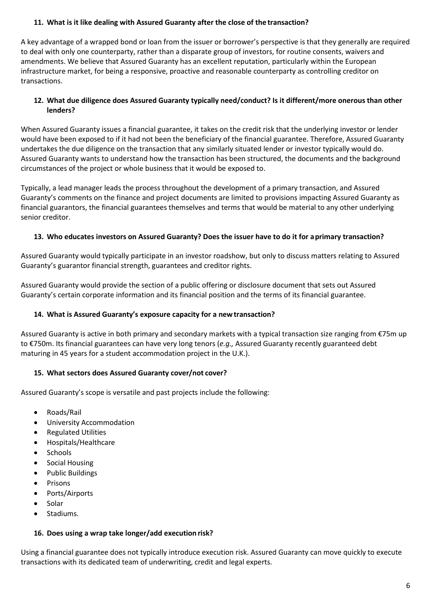# **11. What is it like dealing with Assured Guaranty after the close of the transaction?**

A key advantage of a wrapped bond or loan from the issuer or borrower's perspective is that they generally are required to deal with only one counterparty, rather than a disparate group of investors, for routine consents, waivers and amendments. We believe that Assured Guaranty has an excellent reputation, particularly within the European infrastructure market, for being a responsive, proactive and reasonable counterparty as controlling creditor on transactions.

# **12. What due diligence does Assured Guaranty typically need/conduct? Is it different/more onerous than other lenders?**

When Assured Guaranty issues a financial guarantee, it takes on the credit risk that the underlying investor or lender would have been exposed to if it had not been the beneficiary of the financial guarantee. Therefore, Assured Guaranty undertakes the due diligence on the transaction that any similarly situated lender or investor typically would do. Assured Guaranty wants to understand how the transaction has been structured, the documents and the background circumstances of the project or whole business that it would be exposed to.

Typically, a lead manager leads the process throughout the development of a primary transaction, and Assured Guaranty's comments on the finance and project documents are limited to provisions impacting Assured Guaranty as financial guarantors, the financial guarantees themselves and terms that would be material to any other underlying senior creditor.

# **13. Who educates investors on Assured Guaranty? Does the issuer have to do it for aprimary transaction?**

Assured Guaranty would typically participate in an investor roadshow, but only to discuss matters relating to Assured Guaranty's guarantor financial strength, guarantees and creditor rights.

Assured Guaranty would provide the section of a public offering or disclosure document that sets out Assured Guaranty's certain corporate information and its financial position and the terms of its financial guarantee.

# **14. What is Assured Guaranty's exposure capacity for a newtransaction?**

Assured Guaranty is active in both primary and secondary markets with a typical transaction size ranging from €75m up to €750m. Its financial guarantees can have very long tenors (*e.g.,* Assured Guaranty recently guaranteed debt maturing in 45 years for a student accommodation project in the U.K.).

# **15. What sectors does Assured Guaranty cover/not cover?**

Assured Guaranty's scope is versatile and past projects include the following:

- Roads/Rail
- University Accommodation
- Regulated Utilities
- Hospitals/Healthcare
- Schools
- Social Housing
- Public Buildings
- Prisons
- Ports/Airports
- Solar
- Stadiums.

### **16. Does using a wrap take longer/add execution risk?**

Using a financial guarantee does not typically introduce execution risk. Assured Guaranty can move quickly to execute transactions with its dedicated team of underwriting, credit and legal experts.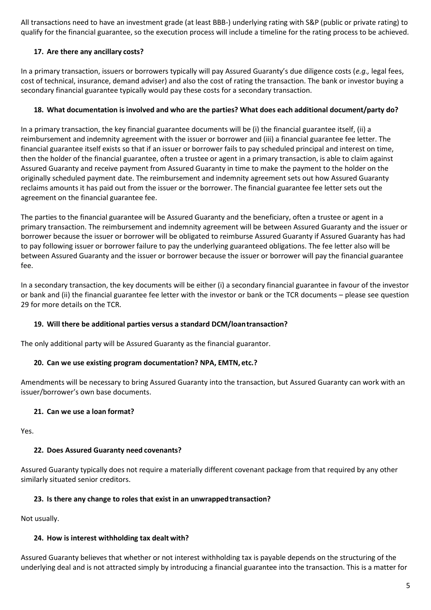All transactions need to have an investment grade (at least BBB-) underlying rating with S&P (public or private rating) to qualify for the financial guarantee, so the execution process will include a timeline for the rating process to be achieved.

# **17. Are there any ancillary costs?**

In a primary transaction, issuers or borrowers typically will pay Assured Guaranty's due diligence costs (*e.g.,* legal fees, cost of technical, insurance, demand adviser) and also the cost of rating the transaction. The bank or investor buying a secondary financial guarantee typically would pay these costs for a secondary transaction.

# **18. What documentation isinvolved and who are the parties? What does each additional document/party do?**

In a primary transaction, the key financial guarantee documents will be (i) the financial guarantee itself, (ii) a reimbursement and indemnity agreement with the issuer or borrower and (iii) a financial guarantee fee letter. The financial guarantee itself exists so that if an issuer or borrower fails to pay scheduled principal and interest on time, then the holder of the financial guarantee, often a trustee or agent in a primary transaction, is able to claim against Assured Guaranty and receive payment from Assured Guaranty in time to make the payment to the holder on the originally scheduled payment date. The reimbursement and indemnity agreement sets out how Assured Guaranty reclaims amounts it has paid out from the issuer or the borrower. The financial guarantee fee letter sets out the agreement on the financial guarantee fee.

The parties to the financial guarantee will be Assured Guaranty and the beneficiary, often a trustee or agent in a primary transaction. The reimbursement and indemnity agreement will be between Assured Guaranty and the issuer or borrower because the issuer or borrower will be obligated to reimburse Assured Guaranty if Assured Guaranty has had to pay following issuer or borrower failure to pay the underlying guaranteed obligations. The fee letter also will be between Assured Guaranty and the issuer or borrower because the issuer or borrower will pay the financial guarantee fee.

In a secondary transaction, the key documents will be either (i) a secondary financial guarantee in favour of the investor or bank and (ii) the financial guarantee fee letter with the investor or bank or the TCR documents – please see question 29 for more details on the TCR.

# **19. Will there be additional parties versus a standard DCM/loantransaction?**

The only additional party will be Assured Guaranty as the financial guarantor.

# **20. Can we use existing program documentation? NPA, EMTN, etc.?**

Amendments will be necessary to bring Assured Guaranty into the transaction, but Assured Guaranty can work with an issuer/borrower's own base documents.

# **21. Can we use a loan format?**

Yes.

# **22. Does Assured Guaranty need covenants?**

Assured Guaranty typically does not require a materially different covenant package from that required by any other similarly situated senior creditors.

# **23. Is there any change to roles that exist in an unwrappedtransaction?**

Not usually.

### **24. How is interest withholding tax dealt with?**

Assured Guaranty believes that whether or not interest withholding tax is payable depends on the structuring of the underlying deal and is not attracted simply by introducing a financial guarantee into the transaction. This is a matter for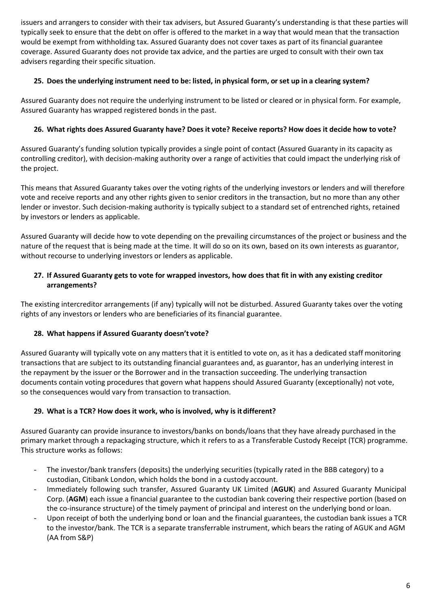issuers and arrangers to consider with their tax advisers, but Assured Guaranty's understanding is that these parties will typically seek to ensure that the debt on offer is offered to the market in a way that would mean that the transaction would be exempt from withholding tax. Assured Guaranty does not cover taxes as part of its financial guarantee coverage. Assured Guaranty does not provide tax advice, and the parties are urged to consult with their own tax advisers regarding their specific situation.

# 25. Does the underlying instrument need to be: listed, in physical form, or set up in a clearing system?

Assured Guaranty does not require the underlying instrument to be listed or cleared or in physical form. For example, Assured Guaranty has wrapped registered bonds in the past.

# 26. What rights does Assured Guaranty have? Does it vote? Receive reports? How does it decide how to vote?

Assured Guaranty's funding solution typically provides a single point of contact (Assured Guaranty in its capacity as controlling creditor), with decision-making authority over a range of activities that could impact the underlying risk of the project.

This means that Assured Guaranty takes over the voting rights of the underlying investors or lenders and will therefore vote and receive reports and any other rights given to senior creditors in the transaction, but no more than any other lender or investor. Such decision-making authority is typically subject to a standard set of entrenched rights, retained by investors or lenders as applicable.

Assured Guaranty will decide how to vote depending on the prevailing circumstances of the project or business and the nature of the request that is being made at the time. It will do so on its own, based on its own interests as guarantor, without recourse to underlying investors or lenders as applicable.

# **27. If Assured Guaranty gets to vote for wrapped investors, how does that fit in with any existing creditor arrangements?**

The existing intercreditor arrangements (if any) typically will not be disturbed. Assured Guaranty takes over the voting rights of any investors or lenders who are beneficiaries of its financial guarantee.

# **28. What happens if Assured Guaranty doesn't vote?**

Assured Guaranty will typically vote on any matters that it is entitled to vote on, as it has a dedicated staff monitoring transactions that are subject to its outstanding financial guarantees and, as guarantor, has an underlying interest in the repayment by the issuer or the Borrower and in the transaction succeeding. The underlying transaction documents contain voting procedures that govern what happens should Assured Guaranty (exceptionally) not vote, so the consequences would vary from transaction to transaction.

# **29. What is a TCR? How does it work, who is involved, why is itdifferent?**

Assured Guaranty can provide insurance to investors/banks on bonds/loans that they have already purchased in the primary market through a repackaging structure, which it refers to as a Transferable Custody Receipt (TCR) programme. This structure works as follows:

- The investor/bank transfers (deposits) the underlying securities (typically rated in the BBB category) to a custodian, Citibank London, which holds the bond in a custody account.
- Immediately following such transfer, Assured Guaranty UK Limited (**AGUK**) and Assured Guaranty Municipal Corp. (**AGM**) each issue a financial guarantee to the custodian bank covering their respective portion (based on the co-insurance structure) of the timely payment of principal and interest on the underlying bond orloan.
- Upon receipt of both the underlying bond or loan and the financial guarantees, the custodian bank issues a TCR to the investor/bank. The TCR is a separate transferrable instrument, which bears the rating of AGUK and AGM (AA from S&P)